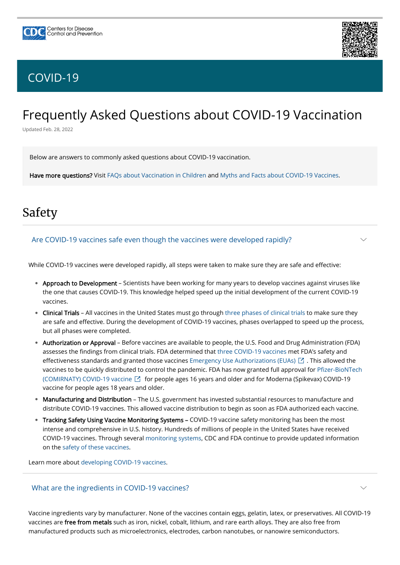



 $\smile$ 

 $\searrow$ 

# Frequently Asked Questions about COVID-19 Vaccination

Updated Feb. 28, 2022

Below are answers to commonly asked questions about COVID-19 vaccination.

Have more questions? Visit [FAQs about Vaccination in Children](https://www.cdc.gov/coronavirus/2019-ncov/vaccines/faq-children.html) and [Myths and Facts about COVID-19 Vaccines](https://www.cdc.gov/coronavirus/2019-ncov/vaccines/facts.html).

## Safety

While COVID-19 vaccines were developed rapidly, all steps were taken to make sure they are safe and effective:

- Approach to Development Scientists have been working for many years to develop vaccines against viruses like the one that causes COVID-19. This knowledge helped speed up the initial development of the current COVID-19 vaccines.
- Clinical Trials All vaccines in the United States must go through [three phases of clinical trials](https://www.cdc.gov/vaccines/basics/test-approve.html) to make sure they are safe and effective. During the development of COVID-19 vaccines, phases overlapped to speed up the process, but all phases were completed.
- Authorization or Approval Before vaccines are available to people, the U.S. Food and Drug Administration (FDA) assesses the findings from clinical trials. FDA determined that [three COVID-19 vaccines](https://www.cdc.gov/coronavirus/2019-ncov/vaccines/different-vaccines.html) met FDA's safety and effectiveness standards and granted those vaccines [Emergency Use Authorizations \(EUAs\)](https://www.fda.gov/emergency-preparedness-and-response/mcm-legal-regulatory-and-policy-framework/emergency-use-authorization)  $\boxtimes$  . This allowed the [vaccines to be quickly distributed to control the pandemic. FDA has now granted full approval for Pfizer-BioNTech](https://www.fda.gov/news-events/press-announcements/fda-approves-first-covid-19-vaccine) (COMIRNATY) COVID-19 vaccine  $\boxtimes$  for people ages 16 years and older and for Moderna (Spikevax) COVID-19 vaccine for people ages 18 years and older.
- Manufacturing and Distribution The U.S. government has invested substantial resources to manufacture and distribute COVID-19 vaccines. This allowed vaccine distribution to begin as soon as FDA authorized each vaccine.
- Tracking Safety Using Vaccine Monitoring Systems COVID-19 vaccine safety monitoring has been the most

intense and comprehensive in U.S. history. Hundreds of millions of people in the United States have received COVID-19 vaccines. Through several [monitoring systems](https://www.cdc.gov/coronavirus/2019-ncov/vaccines/reporting-systems.html), CDC and FDA continue to provide updated information on the [safety of these vaccines.](https://www.cdc.gov/coronavirus/2019-ncov/vaccines/safety.html)

Learn more about [developing COVID-19 vaccines.](https://www.cdc.gov/coronavirus/2019-ncov/vaccines/distributing/steps-ensure-safety.html)

## Are COVID-19 vaccines safe even though the vaccines were developed rapidly?

Vaccine ingredients vary by manufacturer. None of the vaccines contain eggs, gelatin, latex, or preservatives. All COVID-19 vaccines are free from metals such as iron, nickel, cobalt, lithium, and rare earth alloys. They are also free from manufactured products such as microelectronics, electrodes, carbon nanotubes, or nanowire semiconductors.

What are the ingredients in COVID-19 vaccines?

## [COVID-19](https://www.cdc.gov/coronavirus/2019-nCoV/index.html)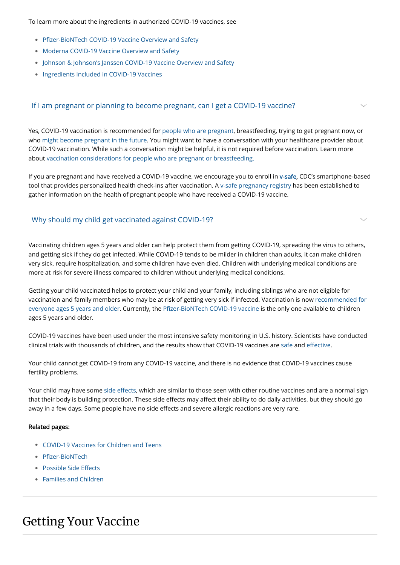To learn more about the ingredients in authorized COVID-19 vaccines, see

- [Pfizer-BioNTech COVID-19 Vaccine Overview and Safety](https://www.cdc.gov/coronavirus/2019-ncov/vaccines/different-vaccines/Pfizer-BioNTech.html)
- [Moderna COVID-19 Vaccine Overview and Safety](https://www.cdc.gov/coronavirus/2019-ncov/vaccines/different-vaccines/Moderna.html)
- [Johnson & Johnson's Janssen COVID-19 Vaccine Overview and Safety](https://www.cdc.gov/coronavirus/2019-ncov/vaccines/different-vaccines/Janssen.html)
- [Ingredients Included in COVID-19 Vaccines](https://www.cdc.gov/vaccines/covid-19/clinical-considerations/covid-19-vaccines-us.html#Appendix-C)

Yes, COVID-19 vaccination is recommended for [people who are pregnant,](https://www.cdc.gov/coronavirus/2019-ncov/vaccines/recommendations/pregnancy.html) breastfeeding, trying to get pregnant now, or who [might become pregnant in the future](https://www.cdc.gov/coronavirus/2019-ncov/vaccines/planning-for-pregnancy.html). You might want to have a conversation with your healthcare provider about COVID-19 vaccination. While such a conversation might be helpful, it is not required before vaccination. Learn more about [vaccination considerations for people who are pregnant or breastfeeding.](https://www.cdc.gov/coronavirus/2019-ncov/vaccines/recommendations/pregnancy.html)

 $\vee$ 

 $\smile$ 

If you are pregnant and have received a COVID-19 vaccine, we encourage you to enroll in [v-safe](https://www.cdc.gov/coronavirus/2019-ncov/vaccines/safety/vsafe.html), CDC's smartphone-based tool that provides personalized health check-ins after vaccination. A [v-safe pregnancy registry](https://www.cdc.gov/coronavirus/2019-ncov/vaccines/safety/vsafepregnancyregistry.html) has been established to gather information on the health of pregnant people who have received a COVID-19 vaccine.

### If I am pregnant or planning to become pregnant, can I get a COVID-19 vaccine?

Vaccinating children ages 5 years and older can help protect them from getting COVID-19, spreading the virus to others, and getting sick if they do get infected. While COVID-19 tends to be milder in children than adults, it can make children very sick, require hospitalization, and some children have even died. Children with underlying medical conditions are more at risk for severe illness compared to children without underlying medical conditions.

Getting your child vaccinated helps to protect your child and your family, including siblings who are not eligible for [vaccination and family members who may be at risk of getting very sick if infected. Vaccination is now recommended for](https://www.cdc.gov/coronavirus/2019-ncov/vaccines/recommendations/adolescents.html) everyone ages 5 years and older. Currently, the [Pfizer-BioNTech COVID-19 vaccine](https://www.cdc.gov/coronavirus/2019-ncov/vaccines/different-vaccines/Pfizer-BioNTech.html) is the only one available to children ages 5 years and older.

COVID-19 vaccines have been used under the most intensive safety monitoring in U.S. history. Scientists have conducted clinical trials with thousands of children, and the results show that COVID-19 vaccines are [safe](https://www.cdc.gov/coronavirus/2019-ncov/vaccines/safety/safety-of-vaccines.html) and [effective](https://www.cdc.gov/coronavirus/2019-ncov/vaccines/effectiveness.html).

Your child cannot get COVID-19 from any COVID-19 vaccine, and there is no evidence that COVID-19 vaccines cause fertility problems.

Your child may have some [side effects,](https://www.cdc.gov/coronavirus/2019-ncov/vaccines/expect/after.html) which are similar to those seen with other routine vaccines and are a normal sign that their body is building protection. These side effects may affect their ability to do daily activities, but they should go away in a few days. Some people have no side effects and severe allergic reactions are very rare.

#### Related pages:

- [COVID-19 Vaccines for Children and Teens](https://www.cdc.gov/coronavirus/2019-ncov/vaccines/recommendations/adolescents.html) •
- [Pfizer-BioNTech](https://www.cdc.gov/coronavirus/2019-ncov/vaccines/different-vaccines/Pfizer-BioNTech.html) •
- [Possible Side Effects](https://www.cdc.gov/coronavirus/2019-ncov/vaccines/expect/after.html) •
- [Families and Children](https://www.cdc.gov/coronavirus/2019-ncov/groups/families-children.html) •

### Why should my child get vaccinated against COVID-19?

## Getting Your Vaccine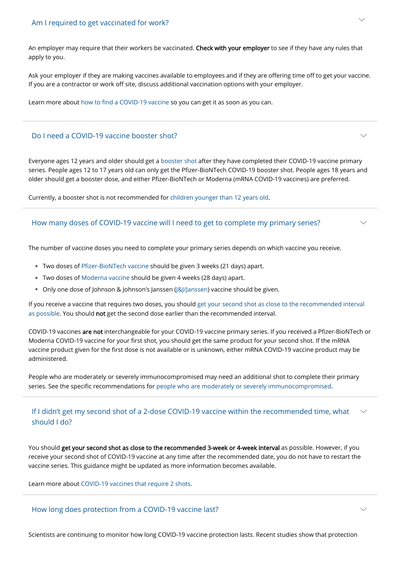An employer may require that their workers be vaccinated. Check with your employer to see if they have any rules that apply to you.

Ask your employer if they are making vaccines available to employees and if they are offering time off to get your vaccine. If you are a contractor or work off site, discuss additional vaccination options with your employer.

Learn more about [how to find a COVID-19 vaccine](https://www.cdc.gov/coronavirus/2019-ncov/vaccines/How-Do-I-Get-a-COVID-19-Vaccine.html) so you can get it as soon as you can.

[If you receive a vaccine that requires two doses, you should get your second shot as close to the recommended interval](https://www.cdc.gov/coronavirus/2019-ncov/vaccines/second-shot.html#second) as possible. You should not get the second dose earlier than the recommended interval.

Everyone ages 12 years and older should get a [booster shot](https://www.cdc.gov/coronavirus/2019-ncov/vaccines/booster-shot.html) after they have completed their COVID-19 vaccine primary series. People ages 12 to 17 years old can only get the Pfizer-BioNTech COVID-19 booster shot. People ages 18 years and older should get a booster dose, and either Pfizer-BioNTech or Moderna (mRNA COVID-19 vaccines) are preferred.

Currently, a booster shot is not recommended for [children younger than 12 years old](https://www.cdc.gov/coronavirus/2019-ncov/vaccines/recommendations/children-teens.html).

## Do I need a COVID-19 vaccine booster shot?

The number of vaccine doses you need to complete your primary series depends on which vaccine you receive.

You should get your second shot as close to the recommended 3-week or 4-week interval as possible. However, if you receive your second shot of COVID-19 vaccine at any time after the recommended date, you do not have to restart the vaccine series. This guidance might be updated as more information becomes available.

#### If I didn't get my second shot of a 2-dose COVID-19 vaccine within the recommended time, what should I do?  $\smile$

 $\smile$ 

 $\smile$ 

 $\smile$ 

- Two doses of [Pfizer-BioNTech vaccine](https://www.cdc.gov/coronavirus/2019-ncov/vaccines/different-vaccines/Pfizer-BioNTech.html) should be given 3 weeks (21 days) apart. •
- Two doses of [Moderna vaccine](https://www.cdc.gov/coronavirus/2019-ncov/vaccines/different-vaccines/Moderna.html) should be given 4 weeks (28 days) apart. •
- Only one dose of Johnson & Johnson's Janssen ([J&J/Janssen\)](https://www.cdc.gov/coronavirus/2019-ncov/vaccines/different-vaccines/Janssen.html) vaccine should be given. •

COVID-19 vaccines are not interchangeable for your COVID-19 vaccine primary series. If you received a Pfizer-BioNTech or Moderna COVID-19 vaccine for your first shot, you should get the same product for your second shot. If the mRNA vaccine product given for the first dose is not available or is unknown, either mRNA COVID-19 vaccine product may be administered.

People who are moderately or severely immunocompromised may need an additional shot to complete their primary series. See the specific recommendations for [people who are moderately or severely immunocompromised.](https://www.cdc.gov/coronavirus/2019-ncov/vaccines/recommendations/immuno.html)

## How many doses of COVID-19 vaccine will I need to get to complete my primary series?

Learn more about [COVID-19 vaccines that require 2 shots](https://www.cdc.gov/coronavirus/2019-ncov/vaccines/second-shot.html).

Scientists are continuing to monitor how long COVID-19 vaccine protection lasts. Recent studies show that protection

### How long does protection from a COVID-19 vaccine last?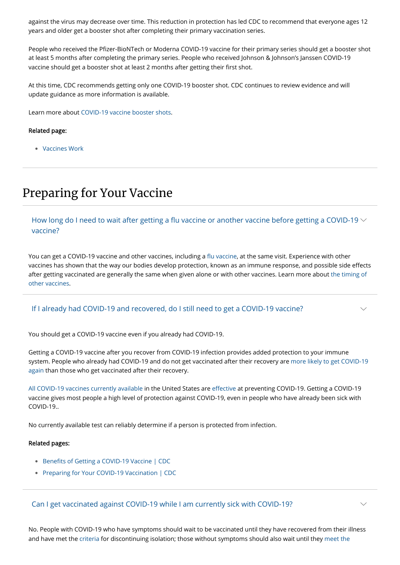against the virus may decrease over time. This reduction in protection has led CDC to recommend that everyone ages 12 years and older get a booster shot after completing their primary vaccination series.

People who received the Pfizer-BioNTech or Moderna COVID-19 vaccine for their primary series should get a booster shot at least 5 months after completing the primary series. People who received Johnson & Johnson's Janssen COVID-19 vaccine should get a booster shot at least 2 months after getting their first shot.

At this time, CDC recommends getting only one COVID-19 booster shot. CDC continues to review evidence and will update guidance as more information is available.

How long do I need to wait after getting a flu vaccine or another vaccine before getting a COVID-19  $\vee$ vaccine?

Learn more about [COVID-19 vaccine booster shots](https://www.cdc.gov/coronavirus/2019-ncov/vaccines/booster-shot.html).

Related page:

• [Vaccines Work](https://www.cdc.gov/coronavirus/2019-ncov/vaccines/effectiveness/work.html)

## Preparing for Your Vaccine

You can get a COVID-19 vaccine and other vaccines, including a [flu vaccine,](https://www.cdc.gov/flu/season/faq-flu-season-2021-2022.htm#Getting-a-Flu-Vaccine-During-the-COVID-19-Pandemic) at the same visit. Experience with other vaccines has shown that the way our bodies develop protection, known as an immune response, and possible side effects [after getting vaccinated are generally the same when given alone or with other vaccines. Learn more about the timing of](https://www.cdc.gov/vaccines/covid-19/info-by-product/clinical-considerations.html#Coadministration) other vaccines.

You should get a COVID-19 vaccine even if you already had COVID-19.

Getting a COVID-19 vaccine after you recover from COVID-19 infection provides added protection to your immune [system. People who already had COVID-19 and do not get vaccinated after their recovery are more likely to get COVID-19](https://www.cdc.gov/mmwr/volumes/70/wr/mm7032e1.htm?s_cid=mm7032e1_e&ACSTrackingID=USCDC_921-DM63289&ACSTrackingLabel=MMWR%20Early%20Release%20-%20Vol.%2070%2C%20August%206%2C%202021&deliveryName=USCDC_921-DM63289) again than those who get vaccinated after their recovery.

[All COVID-19 vaccines currently available](https://www.cdc.gov/coronavirus/2019-ncov/vaccines/different-vaccines.html) in the United States are [effective](https://www.cdc.gov/coronavirus/2019-ncov/vaccines/effectiveness/index.html) at preventing COVID-19. Getting a COVID-19 vaccine gives most people a high level of protection against COVID-19, even in people who have already been sick with COVID-19..

No currently available test can reliably determine if a person is protected from infection.

Related pages:

- [Benefits of Getting a COVID-19 Vaccine | CDC](https://www.cdc.gov/coronavirus/2019-ncov/vaccines/vaccine-benefits.html)
- [Preparing for Your COVID-19 Vaccination | CDC](https://www.cdc.gov/coronavirus/2019-ncov/vaccines/prepare-for-vaccination.html)

## If I already had COVID-19 and recovered, do I still need to get a COVID-19 vaccine?

 $\smile$ 

No. People with COVID-19 who have symptoms should wait to be vaccinated until they have recovered from their illness [and have met the criteria for discontinuing isolation; those without symptoms should also wait until they meet the](https://www.cdc.gov/coronavirus/2019-ncov/your-health/quarantine-isolation.html)

#### Can I get vaccinated against COVID-19 while I am currently sick with COVID-19?

 $\smile$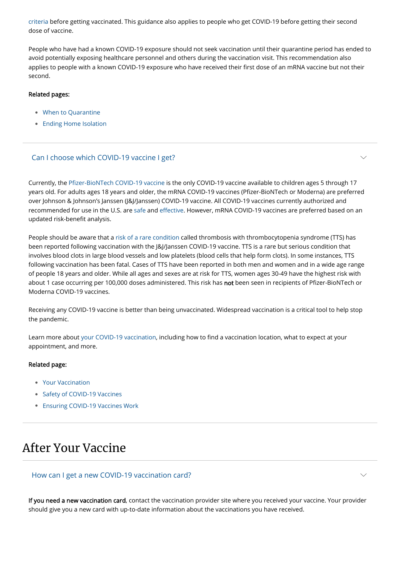[criteria before getting vaccinated. This guidance also applies to people who get COVID-19 before getting their secon](https://www.cdc.gov/coronavirus/2019-ncov/your-health/quarantine-isolation.html)d dose of vaccine.

People who have had a known COVID-19 exposure should not seek vaccination until their quarantine period has ended to avoid potentially exposing healthcare personnel and others during the vaccination visit. This recommendation also applies to people with a known COVID-19 exposure who have received their first dose of an mRNA vaccine but not their second.

#### Related pages:

- [When to Quarantine](https://www.cdc.gov/coronavirus/2019-ncov/your-health/quarantine-isolation.html)
- [Ending Home Isolation](https://www.cdc.gov/coronavirus/2019-ncov/hcp/duration-isolation.html)

Currently, the [Pfizer-BioNTech COVID-19 vaccine](https://www.cdc.gov/coronavirus/2019-ncov/vaccines/different-vaccines/Pfizer-BioNTech.html) is the only COVID-19 vaccine available to children ages 5 through 17 years old. For adults ages 18 years and older, the mRNA COVID-19 vaccines (Pfizer-BioNTech or Moderna) are preferred over Johnson & Johnson's Janssen (J&J/Janssen) COVID-19 vaccine. All COVID-19 vaccines currently authorized and recommended for use in the U.S. are [safe](https://www.cdc.gov/coronavirus/2019-ncov/vaccines/safety/safety-of-vaccines.html) and [effective](https://www.cdc.gov/coronavirus/2019-ncov/vaccines/effectiveness.html). However, mRNA COVID-19 vaccines are preferred based on an updated risk-benefit analysis.

 $\smile$ 

 $\smile$ 

- [Your Vaccination](https://www.cdc.gov/coronavirus/2019-ncov/vaccines/your-vaccination.html) •
- [Safety of COVID-19 Vaccines](https://www.cdc.gov/coronavirus/2019-ncov/vaccines/safety/safety-of-vaccines.html)
- [Ensuring COVID-19 Vaccines Work](https://www.cdc.gov/coronavirus/2019-ncov/vaccines/effectiveness.html)

People should be aware that a [risk of a rare condition](https://www.cdc.gov/coronavirus/2019-ncov/vaccines/safety/adverse-events.html) called thrombosis with thrombocytopenia syndrome (TTS) has been reported following vaccination with the J&J/Janssen COVID-19 vaccine. TTS is a rare but serious condition that involves blood clots in large blood vessels and low platelets (blood cells that help form clots). In some instances, TTS following vaccination has been fatal. Cases of TTS have been reported in both men and women and in a wide age range of people 18 years and older. While all ages and sexes are at risk for TTS, women ages 30-49 have the highest risk with about 1 case occurring per 100,000 doses administered. This risk has not been seen in recipients of Pfizer-BioNTech or Moderna COVID-19 vaccines.

Receiving any COVID-19 vaccine is better than being unvaccinated. Widespread vaccination is a critical tool to help stop the pandemic.

Learn more about [your COVID-19 vaccination,](https://www.cdc.gov/coronavirus/2019-ncov/vaccines/your-vaccination.html) including how to find a vaccination location, what to expect at your appointment, and more.

#### Related page:

## Can I choose which COVID-19 vaccine I get?

## After Your Vaccine

If you need a new vaccination card, contact the vaccination provider site where you received your vaccine. Your provider should give you a new card with up-to-date information about the vaccinations you have received.

How can I get a new COVID-19 vaccination card?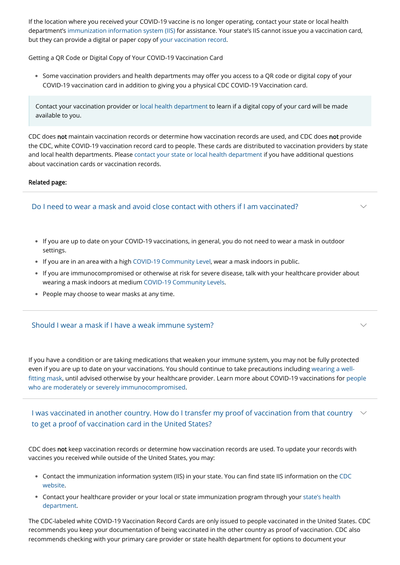If the location where you received your COVID-19 vaccine is no longer operating, contact your state or local health department's [immunization information system \(IIS\)](https://www.cdc.gov/vaccines/programs/iis/contacts-locate-records.html#state) for assistance. Your state's IIS cannot issue you a vaccination card, but they can provide a digital or paper copy of [your vaccination record.](https://www.cdc.gov/vaccines/hcp/admin/immuniz-records.html)

 $\bullet$  Some vaccination providers and health departments may offer you access to a QR code or digital copy of your COVID-19 vaccination card in addition to giving you a physical CDC COVID-19 Vaccination card.

Getting a QR Code or Digital Copy of Your COVID-19 Vaccination Card

CDC does not maintain vaccination records or determine how vaccination records are used, and CDC does not provide the CDC, white COVID-19 vaccination record card to people. These cards are distributed to vaccination providers by state and local health departments. Please [contact your state or local health department](https://www.cdc.gov/coronavirus/2019-ncov/php/hd-search/index.html) if you have additional questions about vaccination cards or vaccination records.

 $\smile$ 

 $\smile$ 

- $\bullet$  If you are up to date on your COVID-19 vaccinations, in general, you do not need to wear a mask in outdoor settings.
- If you are in an area with a high [COVID-19 Community Level,](https://www.cdc.gov/coronavirus/2019-ncov/your-health/covid-by-county.html) wear a mask indoors in public.
- $\bullet$  If you are immunocompromised or otherwise at risk for severe disease, talk with your healthcare provider about wearing a mask indoors at medium [COVID-19 Community Levels.](https://www.cdc.gov/coronavirus/2019-ncov/your-health/covid-by-county.html)
- People may choose to wear masks at any time. •

#### Related page:

Contact your vaccination provider or [local health department](https://www.cdc.gov/publichealthgateway/healthdirectories/healthdepartments.html) to learn if a digital copy of your card will be made available to you.

I was vaccinated in another country. How do I transfer my proof of vaccination from that country  $~\sim$ to get a proof of vaccination card in the United States?



## Do I need to wear a mask and avoid close contact with others if I am vaccinated?

If you have a condition or are taking medications that weaken your immune system, you may not be fully protected even if you are up to date on your [vaccinations.](https://www.cdc.gov/coronavirus/2019-ncov/prevent-getting-sick/about-face-coverings.html) You should continue to take precautions including wearing a well fitting mask, until advised otherwise by your healthcare provider. Learn more about COVID-19 vaccinations for people who are moderately or severely [immunocompromised.](https://www.cdc.gov/coronavirus/2019-ncov/vaccines/recommendations/immuno.html)

### Should I wear a mask if I have a weak immune system?

CDC does not keep vaccination records or determine how vaccination records are used. To update your records with vaccines you received while outside of the United States, you may:

- [Contact the immunization information system \(IIS\) in your state. You can find state IIS information on the CDC](https://www.cdc.gov/vaccines/programs/iis/contacts-locate-records.html#state) website.
- [Contact your healthcare provider or your local or state immunization program through your state's health](https://www.cdc.gov/publichealthgateway/healthdirectories/healthdepartments.html) •department.

The CDC-labeled white COVID-19 Vaccination Record Cards are only issued to people vaccinated in the United States. CDC recommends you keep your documentation of being vaccinated in the other country as proof of vaccination. CDC also recommends checking with your primary care provider or state health department for options to document your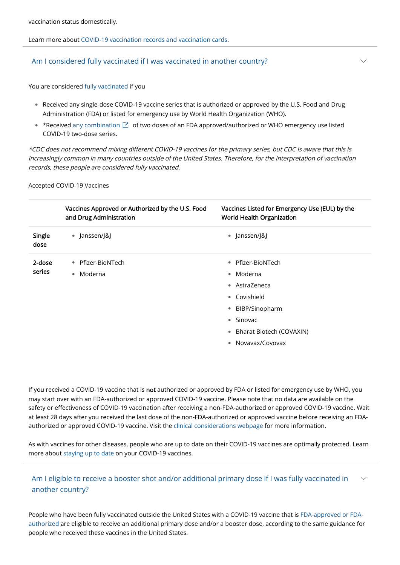Learn more about [COVID-19 vaccination records and vaccination cards.](https://www.cdc.gov/coronavirus/2019-ncov/vaccines/vaccination-card.html)

You are considered [fully vaccinated](https://www.cdc.gov/coronavirus/2019-ncov/vaccines/fully-vaccinated.html) if you

• \*Received [any combination](https://extranet.who.int/pqweb/vaccines/vaccinescovid-19-vaccine-eul-issued)  $\boxtimes$  of two doses of an FDA approved/authorized or WHO emergency use listed COVID-19 two-dose series.

Received any single-dose COVID-19 vaccine series that is authorized or approved by the U.S. Food and Drug • Administration (FDA) or listed for emergency use by World Health Organization (WHO).

 $\vee$ 

\*CDC does not recommend mixing different COVID-19 vaccines for the primary series, but CDC is aware that this is increasingly common in many countries outside of the United States. Therefore, for the interpretation of vaccination records, these people are considered fully vaccinated.

Accepted COVID-19 Vaccines

If you received a COVID-19 vaccine that is not authorized or approved by FDA or listed for emergency use by WHO, you may start over with an FDA-authorized or approved COVID-19 vaccine. Please note that no data are available on the safety or effectiveness of COVID-19 vaccination after receiving a non-FDA-authorized or approved COVID-19 vaccine. Wait at least 28 days after you received the last dose of the non-FDA-authorized or approved vaccine before receiving an FDAauthorized or approved COVID-19 vaccine. Visit the [clinical considerations webpage](https://www.cdc.gov/vaccines/covid-19/clinical-considerations/covid-19-vaccines-us.html#people-vaccinated-outside-us) for more information.

#### Am I eligible to receive a booster shot and/or additional primary dose if I was fully vaccinated in another country?  $\searrow$

|                | Vaccines Approved or Authorized by the U.S. Food<br>and Drug Administration | Vaccines Listed for Emergency Use (EUL) by the<br><b>World Health Organization</b> |
|----------------|-----------------------------------------------------------------------------|------------------------------------------------------------------------------------|
| Single<br>dose | • Janssen/J&J                                                               | • Janssen/J&J                                                                      |
| 2-dose         | • Pfizer-BioNTech                                                           | • Pfizer-BioNTech                                                                  |
| series         | Moderna<br>$\bullet$                                                        | $\bullet$ Moderna                                                                  |
|                |                                                                             | • AstraZeneca                                                                      |
|                |                                                                             | • Covishield                                                                       |
|                |                                                                             | • BIBP/Sinopharm                                                                   |
|                |                                                                             | • Sinovac                                                                          |
|                |                                                                             | • Bharat Biotech (COVAXIN)                                                         |
|                |                                                                             | Novavax/Covovax                                                                    |

As with vaccines for other diseases, people who are up to date on their COVID-19 vaccines are optimally protected. Learn more about [staying up to date](https://www.cdc.gov/coronavirus/2019-ncov/vaccines/stay-up-to-date.html) on your COVID-19 vaccines.

### Am I considered fully vaccinated if I was vaccinated in another country?

[People who have been fully vaccinated outside the United States with a COVID-19 vaccine that is FDA-approved or FDA](https://www.cdc.gov/coronavirus/2019-ncov/vaccines/different-vaccines.html)authorized are eligible to receive an additional primary dose and/or a booster dose, according to the same guidance for people who received these vaccines in the United States.